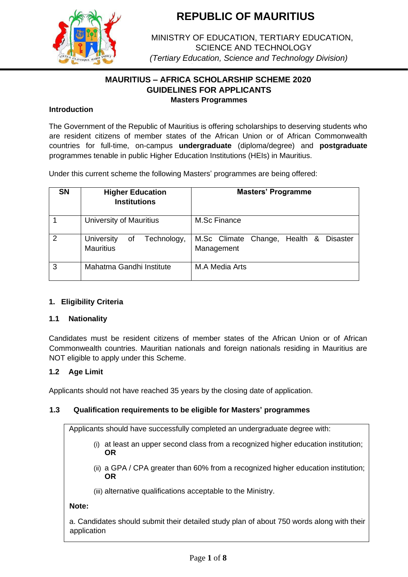

MINISTRY OF EDUCATION, TERTIARY EDUCATION, SCIENCE AND TECHNOLOGY *(Tertiary Education, Science and Technology Division)*

## **MAURITIUS – AFRICA SCHOLARSHIP SCHEME 2020 GUIDELINES FOR APPLICANTS Masters Programmes**

## **Introduction**

The Government of the Republic of Mauritius is offering scholarships to deserving students who are resident citizens of member states of the African Union or of African Commonwealth countries for full-time, on-campus **undergraduate** (diploma/degree) and **postgraduate** programmes tenable in public Higher Education Institutions (HEIs) in Mauritius.

Under this current scheme the following Masters' programmes are being offered:

| <b>SN</b> | <b>Higher Education</b><br><b>Institutions</b>   | <b>Masters' Programme</b>                                      |
|-----------|--------------------------------------------------|----------------------------------------------------------------|
|           | University of Mauritius                          | M.Sc Finance                                                   |
| 2         | of Technology,<br>University<br><b>Mauritius</b> | M.Sc Climate Change, Health &<br><b>Disaster</b><br>Management |
| 3         | Mahatma Gandhi Institute                         | M.A Media Arts                                                 |

## **1. Eligibility Criteria**

### **1.1 Nationality**

Candidates must be resident citizens of member states of the African Union or of African Commonwealth countries. Mauritian nationals and foreign nationals residing in Mauritius are NOT eligible to apply under this Scheme.

## **1.2 Age Limit**

Applicants should not have reached 35 years by the closing date of application.

### **1.3 Qualification requirements to be eligible for Masters' programmes**

Applicants should have successfully completed an undergraduate degree with:

- (i) at least an upper second class from a recognized higher education institution; **OR**
- (ii) a GPA / CPA greater than 60% from a recognized higher education institution; **OR**
- (iii) alternative qualifications acceptable to the Ministry.

### **Note:**

a. Candidates should submit their detailed study plan of about 750 words along with their application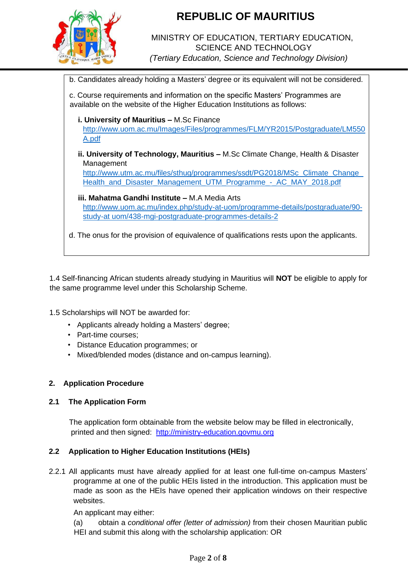

## MINISTRY OF EDUCATION, TERTIARY EDUCATION, SCIENCE AND TECHNOLOGY *(Tertiary Education, Science and Technology Division)*

b. Candidates already holding a Masters' degree or its equivalent will not be considered.

c. Course requirements and information on the specific Masters' Programmes are available on the website of the Higher Education Institutions as follows:

**i. University of Mauritius –** M.Sc Finance [http://www.uom.ac.mu/Images/Files/programmes/FLM/YR2015/Postgraduate/LM550](http://www.uom.ac.mu/Images/Files/programmes/FLM/YR2015/Postgraduate/LM550A.pdf) [A.pdf](http://www.uom.ac.mu/Images/Files/programmes/FLM/YR2015/Postgraduate/LM550A.pdf)

**ii. University of Technology, Mauritius –** M.Sc Climate Change, Health & Disaster Management

[http://www.utm.ac.mu/files/sthug/programmes/ssdt/PG2018/MSc\\_Climate\\_Change\\_](http://www.utm.ac.mu/files/sthug/programmes/ssdt/PG2018/MSc_Climate_Change_Health_and_Disaster_Management_UTM_Programme_-_AC_MAY_2018.pdf) [Health\\_and\\_Disaster\\_Management\\_UTM\\_Programme\\_-\\_AC\\_MAY\\_2018.pdf](http://www.utm.ac.mu/files/sthug/programmes/ssdt/PG2018/MSc_Climate_Change_Health_and_Disaster_Management_UTM_Programme_-_AC_MAY_2018.pdf)

**iii. Mahatma Gandhi Institute –** M.A Media Arts [http://www.uom.ac.mu/index.php/study-at-uom/programme-details/postgraduate/90](http://www.uom.ac.mu/index.php/study-at-uom/programme-details/postgraduate/90-study-at%20uom/438-mgi-postgraduate-programmes-details-2) [study-at uom/438-mgi-postgraduate-programmes-details-2](http://www.uom.ac.mu/index.php/study-at-uom/programme-details/postgraduate/90-study-at%20uom/438-mgi-postgraduate-programmes-details-2)

d. The onus for the provision of equivalence of qualifications rests upon the applicants.

1.4 Self-financing African students already studying in Mauritius will **NOT** be eligible to apply for the same programme level under this Scholarship Scheme.

1.5 Scholarships will NOT be awarded for:

- Applicants already holding a Masters' degree;
- Part-time courses;
- Distance Education programmes; or
- Mixed/blended modes (distance and on-campus learning).

## **2. Application Procedure**

### **2.1 The Application Form**

The application form obtainable from the website below may be filled in electronically, printed and then signed: [http://ministry-education.govmu.org](http://ministry-education.govmu.org/)

### **2.2 Application to Higher Education Institutions (HEIs)**

2.2.1 All applicants must have already applied for at least one full-time on-campus Masters' programme at one of the public HEIs listed in the introduction. This application must be made as soon as the HEIs have opened their application windows on their respective websites.

An applicant may either:

(a) obtain a *conditional offer (letter of admission)* from their chosen Mauritian public HEI and submit this along with the scholarship application: OR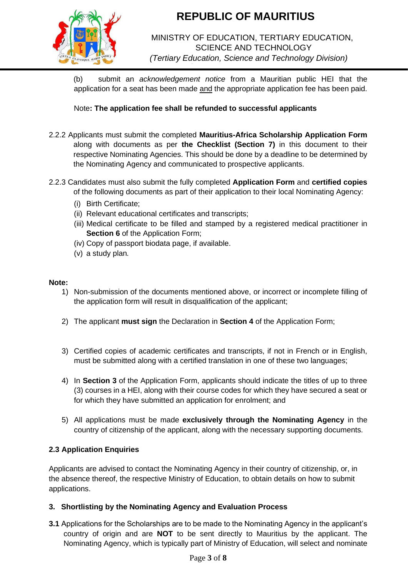

# MINISTRY OF EDUCATION, TERTIARY EDUCATION, SCIENCE AND TECHNOLOGY *(Tertiary Education, Science and Technology Division)*

(b) submit an *acknowledgement notice* from a Mauritian public HEI that the application for a seat has been made and the appropriate application fee has been paid.

Note**: The application fee shall be refunded to successful applicants** 

- 2.2.2 Applicants must submit the completed **Mauritius-Africa Scholarship Application Form** along with documents as per **the Checklist (Section 7)** in this document to their respective Nominating Agencies. This should be done by a deadline to be determined by the Nominating Agency and communicated to prospective applicants.
- 2.2.3 Candidates must also submit the fully completed **Application Form** and **certified copies** of the following documents as part of their application to their local Nominating Agency:
	- (i) Birth Certificate;
	- (ii) Relevant educational certificates and transcripts;
	- (iii) Medical certificate to be filled and stamped by a registered medical practitioner in **Section 6** of the Application Form;
	- (iv) Copy of passport biodata page, if available.
	- (v) a study plan*.*

### **Note:**

- 1) Non-submission of the documents mentioned above, or incorrect or incomplete filling of the application form will result in disqualification of the applicant;
- 2) The applicant **must sign** the Declaration in **Section 4** of the Application Form;
- 3) Certified copies of academic certificates and transcripts, if not in French or in English, must be submitted along with a certified translation in one of these two languages;
- 4) In **Section 3** of the Application Form, applicants should indicate the titles of up to three (3) courses in a HEI, along with their course codes for which they have secured a seat or for which they have submitted an application for enrolment; and
- 5) All applications must be made **exclusively through the Nominating Agency** in the country of citizenship of the applicant, along with the necessary supporting documents.

## **2.3 Application Enquiries**

Applicants are advised to contact the Nominating Agency in their country of citizenship, or, in the absence thereof, the respective Ministry of Education, to obtain details on how to submit applications.

## **3. Shortlisting by the Nominating Agency and Evaluation Process**

**3.1** Applications for the Scholarships are to be made to the Nominating Agency in the applicant's country of origin and are **NOT** to be sent directly to Mauritius by the applicant. The Nominating Agency, which is typically part of Ministry of Education, will select and nominate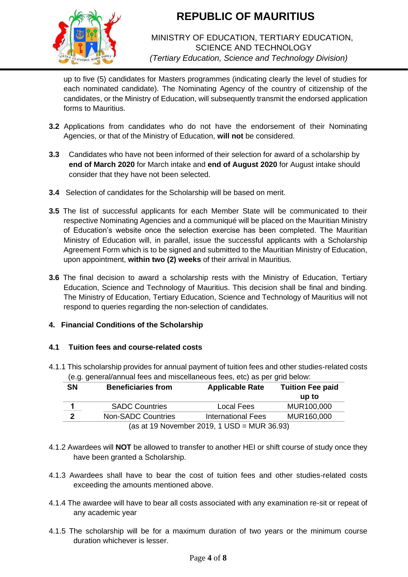

## MINISTRY OF EDUCATION, TERTIARY EDUCATION, SCIENCE AND TECHNOLOGY *(Tertiary Education, Science and Technology Division)*

up to five (5) candidates for Masters programmes (indicating clearly the level of studies for each nominated candidate). The Nominating Agency of the country of citizenship of the candidates, or the Ministry of Education, will subsequently transmit the endorsed application forms to Mauritius.

- **3.2** Applications from candidates who do not have the endorsement of their Nominating Agencies, or that of the Ministry of Education, **will not** be considered.
- **3.3** Candidates who have not been informed of their selection for award of a scholarship by **end of March 2020** for March intake and **end of August 2020** for August intake should consider that they have not been selected.
- **3.4** Selection of candidates for the Scholarship will be based on merit.
- **3.5** The list of successful applicants for each Member State will be communicated to their respective Nominating Agencies and a communiqué will be placed on the Mauritian Ministry of Education's website once the selection exercise has been completed. The Mauritian Ministry of Education will, in parallel, issue the successful applicants with a Scholarship Agreement Form which is to be signed and submitted to the Mauritian Ministry of Education, upon appointment, **within two (2) weeks** of their arrival in Mauritius.
- **3.6** The final decision to award a scholarship rests with the Ministry of Education, Tertiary Education, Science and Technology of Mauritius. This decision shall be final and binding. The Ministry of Education, Tertiary Education, Science and Technology of Mauritius will not respond to queries regarding the non-selection of candidates.

## **4. Financial Conditions of the Scholarship**

## **4.1 Tuition fees and course-related costs**

4.1.1 This scholarship provides for annual payment of tuition fees and other studies-related costs (e.g. general/annual fees and miscellaneous fees, etc) as per grid below:

| <b>SN</b>                                   | <b>Beneficiaries from</b> | <b>Applicable Rate</b>    | <b>Tuition Fee paid</b> |  |  |
|---------------------------------------------|---------------------------|---------------------------|-------------------------|--|--|
|                                             |                           |                           | up to                   |  |  |
|                                             | <b>SADC Countries</b>     | Local Fees                | MUR100,000              |  |  |
| 2                                           | <b>Non-SADC Countries</b> | <b>International Fees</b> | MUR160,000              |  |  |
| (as at 19 November 2019, 1 USD = MUR 36.93) |                           |                           |                         |  |  |

- 4.1.2 Awardees will **NOT** be allowed to transfer to another HEI or shift course of study once they have been granted a Scholarship.
- 4.1.3 Awardees shall have to bear the cost of tuition fees and other studies-related costs exceeding the amounts mentioned above.
- 4.1.4 The awardee will have to bear all costs associated with any examination re-sit or repeat of any academic year
- 4.1.5 The scholarship will be for a maximum duration of two years or the minimum course duration whichever is lesser.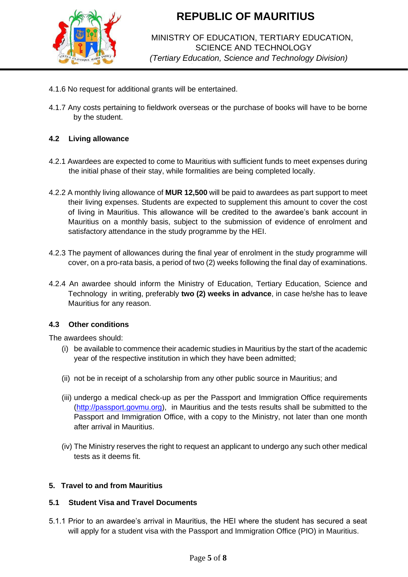

# MINISTRY OF EDUCATION, TERTIARY EDUCATION, SCIENCE AND TECHNOLOGY *(Tertiary Education, Science and Technology Division)*

- 4.1.6 No request for additional grants will be entertained.
- 4.1.7 Any costs pertaining to fieldwork overseas or the purchase of books will have to be borne by the student.

## **4.2 Living allowance**

- 4.2.1 Awardees are expected to come to Mauritius with sufficient funds to meet expenses during the initial phase of their stay, while formalities are being completed locally.
- 4.2.2 A monthly living allowance of **MUR 12,500** will be paid to awardees as part support to meet their living expenses. Students are expected to supplement this amount to cover the cost of living in Mauritius. This allowance will be credited to the awardee's bank account in Mauritius on a monthly basis, subject to the submission of evidence of enrolment and satisfactory attendance in the study programme by the HEI.
- 4.2.3 The payment of allowances during the final year of enrolment in the study programme will cover, on a pro-rata basis, a period of two (2) weeks following the final day of examinations.
- 4.2.4 An awardee should inform the Ministry of Education, Tertiary Education, Science and Technology in writing, preferably **two (2) weeks in advance**, in case he/she has to leave Mauritius for any reason.

### **4.3 Other conditions**

The awardees should:

- (i) be available to commence their academic studies in Mauritius by the start of the academic year of the respective institution in which they have been admitted;
- (ii) not be in receipt of a scholarship from any other public source in Mauritius; and
- (iii) undergo a medical check-up as per the Passport and Immigration Office requirements [\(http://passport.govmu.org\),](http://passport.govmu.org/) in Mauritius and the tests results shall be submitted to the Passport and Immigration Office, with a copy to the Ministry, not later than one month after arrival in Mauritius.
- (iv) The Ministry reserves the right to request an applicant to undergo any such other medical tests as it deems fit.

### **5. Travel to and from Mauritius**

### **5.1 Student Visa and Travel Documents**

5.1.1 Prior to an awardee's arrival in Mauritius, the HEI where the student has secured a seat will apply for a student visa with the Passport and Immigration Office (PIO) in Mauritius.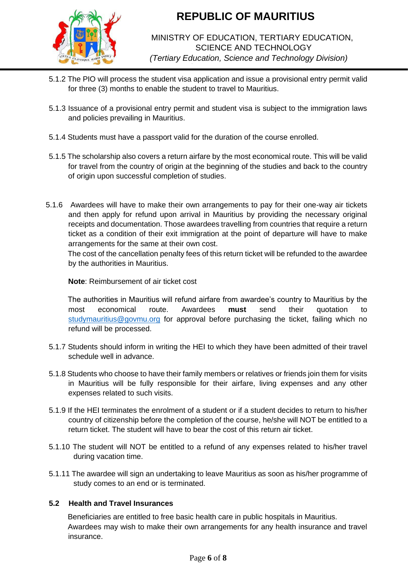

# MINISTRY OF EDUCATION, TERTIARY EDUCATION, SCIENCE AND TECHNOLOGY *(Tertiary Education, Science and Technology Division)*

- 5.1.2 The PIO will process the student visa application and issue a provisional entry permit valid for three (3) months to enable the student to travel to Mauritius.
- 5.1.3 Issuance of a provisional entry permit and student visa is subject to the immigration laws and policies prevailing in Mauritius.
- 5.1.4 Students must have a passport valid for the duration of the course enrolled.
- 5.1.5 The scholarship also covers a return airfare by the most economical route. This will be valid for travel from the country of origin at the beginning of the studies and back to the country of origin upon successful completion of studies.
- 5.1.6 Awardees will have to make their own arrangements to pay for their one-way air tickets and then apply for refund upon arrival in Mauritius by providing the necessary original receipts and documentation. Those awardees travelling from countries that require a return ticket as a condition of their exit immigration at the point of departure will have to make arrangements for the same at their own cost.

 The cost of the cancellation penalty fees of this return ticket will be refunded to the awardee by the authorities in Mauritius.

### **Note**: Reimbursement of air ticket cost

The authorities in Mauritius will refund airfare from awardee's country to Mauritius by the most economical route. Awardees **must** send their quotation to [studymauritius@govmu.org](mailto:studymauritius@govmu.org) for approval before purchasing the ticket, failing which no refund will be processed.

- 5.1.7 Students should inform in writing the HEI to which they have been admitted of their travel schedule well in advance.
- 5.1.8 Students who choose to have their family members or relatives or friends join them for visits in Mauritius will be fully responsible for their airfare, living expenses and any other expenses related to such visits.
- 5.1.9 If the HEI terminates the enrolment of a student or if a student decides to return to his/her country of citizenship before the completion of the course, he/she will NOT be entitled to a return ticket. The student will have to bear the cost of this return air ticket.
- 5.1.10 The student will NOT be entitled to a refund of any expenses related to his/her travel during vacation time.
- 5.1.11 The awardee will sign an undertaking to leave Mauritius as soon as his/her programme of study comes to an end or is terminated.

## **5.2 Health and Travel Insurances**

Beneficiaries are entitled to free basic health care in public hospitals in Mauritius. Awardees may wish to make their own arrangements for any health insurance and travel insurance.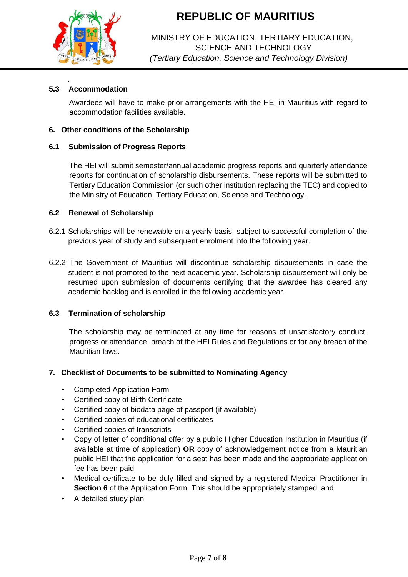

## MINISTRY OF EDUCATION, TERTIARY EDUCATION, SCIENCE AND TECHNOLOGY *(Tertiary Education, Science and Technology Division)*

## **5.3 Accommodation**

.

Awardees will have to make prior arrangements with the HEI in Mauritius with regard to accommodation facilities available.

### **6. Other conditions of the Scholarship**

### **6.1 Submission of Progress Reports**

The HEI will submit semester/annual academic progress reports and quarterly attendance reports for continuation of scholarship disbursements. These reports will be submitted to Tertiary Education Commission (or such other institution replacing the TEC) and copied to the Ministry of Education, Tertiary Education, Science and Technology.

### **6.2 Renewal of Scholarship**

- 6.2.1 Scholarships will be renewable on a yearly basis, subject to successful completion of the previous year of study and subsequent enrolment into the following year.
- 6.2.2 The Government of Mauritius will discontinue scholarship disbursements in case the student is not promoted to the next academic year. Scholarship disbursement will only be resumed upon submission of documents certifying that the awardee has cleared any academic backlog and is enrolled in the following academic year.

### **6.3 Termination of scholarship**

The scholarship may be terminated at any time for reasons of unsatisfactory conduct, progress or attendance, breach of the HEI Rules and Regulations or for any breach of the Mauritian laws.

### **7. Checklist of Documents to be submitted to Nominating Agency**

- Completed Application Form
- Certified copy of Birth Certificate
- Certified copy of biodata page of passport (if available)
- Certified copies of educational certificates
- Certified copies of transcripts
- Copy of letter of conditional offer by a public Higher Education Institution in Mauritius (if available at time of application) **OR** copy of acknowledgement notice from a Mauritian public HEI that the application for a seat has been made and the appropriate application fee has been paid;
- Medical certificate to be duly filled and signed by a registered Medical Practitioner in **Section 6** of the Application Form. This should be appropriately stamped; and
- A detailed study plan